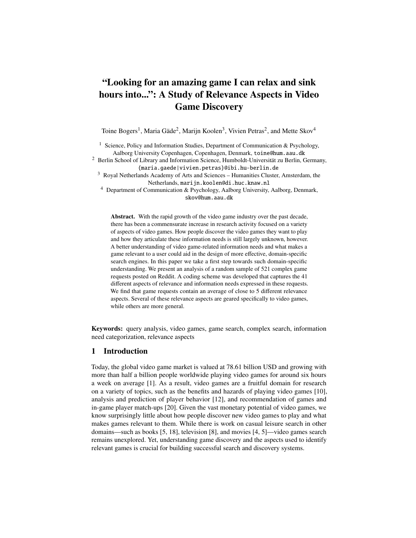# "Looking for an amazing game I can relax and sink hours into...": A Study of Relevance Aspects in Video Game Discovery

Toine Bogers<sup>1</sup>, Maria Gäde<sup>2</sup>, Marijn Koolen<sup>3</sup>, Vivien Petras<sup>2</sup>, and Mette Skov<sup>4</sup>

<sup>1</sup> Science, Policy and Information Studies, Department of Communication & Psychology, Aalborg University Copenhagen, Copenhagen, Denmark, toine@hum.aau.dk

<sup>2</sup> Berlin School of Library and Information Science, Humboldt-Universität zu Berlin, Germany, {maria.gaede|vivien.petras}@ibi.hu-berlin.de

<sup>3</sup> Royal Netherlands Academy of Arts and Sciences – Humanities Cluster, Amsterdam, the Netherlands, marijn.koolen@di.huc.knaw.nl

<sup>4</sup> Department of Communication & Psychology, Aalborg University, Aalborg, Denmark, skov@hum.aau.dk

Abstract. With the rapid growth of the video game industry over the past decade, there has been a commensurate increase in research activity focused on a variety of aspects of video games. How people discover the video games they want to play and how they articulate these information needs is still largely unknown, however. A better understanding of video game-related information needs and what makes a game relevant to a user could aid in the design of more effective, domain-specific search engines. In this paper we take a first step towards such domain-specific understanding. We present an analysis of a random sample of 521 complex game requests posted on Reddit. A coding scheme was developed that captures the 41 different aspects of relevance and information needs expressed in these requests. We find that game requests contain an average of close to 5 different relevance aspects. Several of these relevance aspects are geared specifically to video games, while others are more general.

Keywords: query analysis, video games, game search, complex search, information need categorization, relevance aspects

# 1 Introduction

Today, the global video game market is valued at 78.61 billion USD and growing with more than half a billion people worldwide playing video games for around six hours a week on average [1]. As a result, video games are a fruitful domain for research on a variety of topics, such as the benefits and hazards of playing video games [10], analysis and prediction of player behavior [12], and recommendation of games and in-game player match-ups [20]. Given the vast monetary potential of video games, we know surprisingly little about how people discover new video games to play and what makes games relevant to them. While there is work on casual leisure search in other domains—such as books [5, 18], television [8], and movies [4, 5]—video games search remains unexplored. Yet, understanding game discovery and the aspects used to identify relevant games is crucial for building successful search and discovery systems.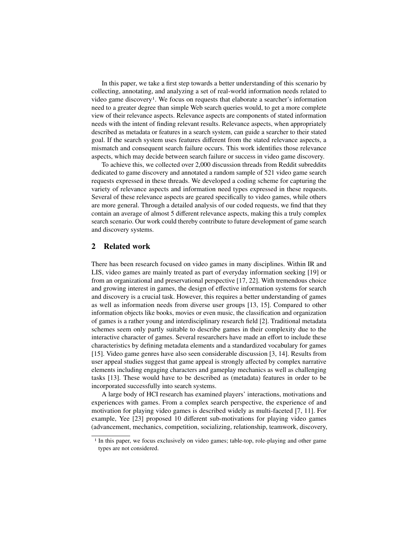In this paper, we take a first step towards a better understanding of this scenario by collecting, annotating, and analyzing a set of real-world information needs related to video game discovery1. We focus on requests that elaborate a searcher's information need to a greater degree than simple Web search queries would, to get a more complete view of their relevance aspects. Relevance aspects are components of stated information needs with the intent of finding relevant results. Relevance aspects, when appropriately described as metadata or features in a search system, can guide a searcher to their stated goal. If the search system uses features different from the stated relevance aspects, a mismatch and consequent search failure occurs. This work identifies those relevance aspects, which may decide between search failure or success in video game discovery.

To achieve this, we collected over 2,000 discussion threads from Reddit subreddits dedicated to game discovery and annotated a random sample of 521 video game search requests expressed in these threads. We developed a coding scheme for capturing the variety of relevance aspects and information need types expressed in these requests. Several of these relevance aspects are geared specifically to video games, while others are more general. Through a detailed analysis of our coded requests, we find that they contain an average of almost 5 different relevance aspects, making this a truly complex search scenario. Our work could thereby contribute to future development of game search and discovery systems.

# 2 Related work

There has been research focused on video games in many disciplines. Within IR and LIS, video games are mainly treated as part of everyday information seeking [19] or from an organizational and preservational perspective [17, 22]. With tremendous choice and growing interest in games, the design of effective information systems for search and discovery is a crucial task. However, this requires a better understanding of games as well as information needs from diverse user groups [13, 15]. Compared to other information objects like books, movies or even music, the classification and organization of games is a rather young and interdisciplinary research field [2]. Traditional metadata schemes seem only partly suitable to describe games in their complexity due to the interactive character of games. Several researchers have made an effort to include these characteristics by defining metadata elements and a standardized vocabulary for games [15]. Video game genres have also seen considerable discussion [3, 14]. Results from user appeal studies suggest that game appeal is strongly affected by complex narrative elements including engaging characters and gameplay mechanics as well as challenging tasks [13]. These would have to be described as (metadata) features in order to be incorporated successfully into search systems.

A large body of HCI research has examined players' interactions, motivations and experiences with games. From a complex search perspective, the experience of and motivation for playing video games is described widely as multi-faceted [7, 11]. For example, Yee [23] proposed 10 different sub-motivations for playing video games (advancement, mechanics, competition, socializing, relationship, teamwork, discovery,

<sup>1</sup> In this paper, we focus exclusively on video games; table-top, role-playing and other game types are not considered.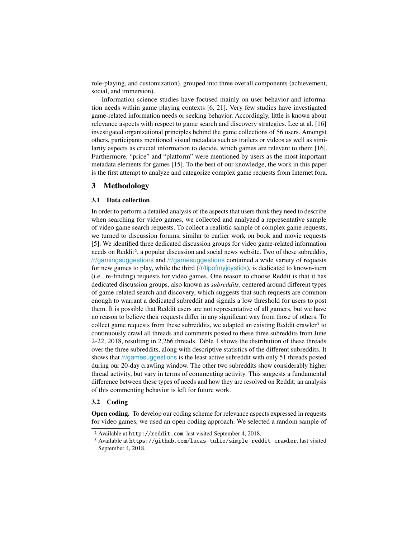role-playing, and customization), grouped into three overall components (achievement, social, and immersion).

Information science studies have focused mainly on user behavior and information needs within game playing contexts [6, 21]. Very few studies have investigated game-related information needs or seeking behavior. Accordingly, little is known about relevance aspects with respect to game search and discovery strategies. Lee at al. [16] investigated organizational principles behind the game collections of 56 users. Amongst others, participants mentioned visual metadata such as trailers or videos as well as similarity aspects as crucial information to decide, which games are relevant to them [16]. Furthermore, "price" and "platform" were mentioned by users as the most important metadata elements for games [15]. To the best of our knowledge, the work in this paper is the first attempt to analyze and categorize complex game requests from Internet fora.

# 3 Methodology

#### 3.1 Data collection

In order to perform a detailed analysis of the aspects that users think they need to describe when searching for video games, we collected and analyzed a representative sample of video game search requests. To collect a realistic sample of complex game requests, we turned to discussion forums, similar to earlier work on book and movie requests [5]. We identified three dedicated discussion groups for video game-related information needs on Reddit2, a popular discussion and social news website. Two of these subreddits, /r/gamingsuggestions and /r/gamesuggestions contained a wide variety of requests for new games to play, while the third (/r/tipofmyjoystick), is dedicated to known-item (i.e., re-finding) requests for video games. One reason to choose Reddit is that it has dedicated discussion groups, also known as *subreddits*, centered around different types of game-related search and discovery, which suggests that such requests are common enough to warrant a dedicated subreddit and signals a low threshold for users to post them. It is possible that Reddit users are not representative of all gamers, but we have no reason to believe their requests differ in any significant way from those of others. To collect game requests from these subreddits, we adapted an existing Reddit crawler<sup>3</sup> to continuously crawl all threads and comments posted to these three subreddits from June 2-22, 2018, resulting in 2,266 threads. Table 1 shows the distribution of these threads over the three subreddits, along with descriptive statistics of the different subreddits. It shows that /r/gamesuggestions is the least active subreddit with only 51 threads posted during our 20-day crawling window. The other two subreddits show considerably higher thread activity, but vary in terms of commenting activity. This suggests a fundamental difference between these types of needs and how they are resolved on Reddit; an analysis of this commenting behavior is left for future work.

# 3.2 Coding

Open coding. To develop our coding scheme for relevance aspects expressed in requests for video games, we used an open coding approach. We selected a random sample of

<sup>2</sup> Available at http://reddit.com, last visited September 4, 2018.

<sup>3</sup> Available at https://github.com/lucas-tulio/simple-reddit-crawler, last visited September 4, 2018.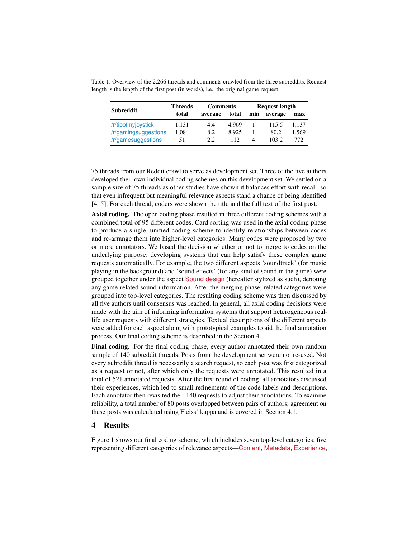| <b>Subreddit</b>     | <b>Threads</b> | <b>Comments</b> |       | <b>Request length</b> |         |       |
|----------------------|----------------|-----------------|-------|-----------------------|---------|-------|
|                      | total          | average         | total | min                   | average | max   |
| /r/tipofmyjoystick   | 1.131          | 4.4             | 4.969 |                       | 115.5   | 1.137 |
| /r/gamingsuggestions | 1.084          | 8.2             | 8.925 |                       | 80.2    | 1.569 |
| /r/gamesuggestions   | 51             | 2.2             | 112   | 4                     | 103.2   | 772   |

Table 1: Overview of the 2,266 threads and comments crawled from the three subreddits. Request length is the length of the first post (in words), i.e., the original game request.

75 threads from our Reddit crawl to serve as development set. Three of the five authors developed their own individual coding schemes on this development set. We settled on a sample size of 75 threads as other studies have shown it balances effort with recall, so that even infrequent but meaningful relevance aspects stand a chance of being identified [4, 5]. For each thread, coders were shown the title and the full text of the first post.

Axial coding. The open coding phase resulted in three different coding schemes with a combined total of 95 different codes. Card sorting was used in the axial coding phase to produce a single, unified coding scheme to identify relationships between codes and re-arrange them into higher-level categories. Many codes were proposed by two or more annotators. We based the decision whether or not to merge to codes on the underlying purpose: developing systems that can help satisfy these complex game requests automatically. For example, the two different aspects 'soundtrack' (for music playing in the background) and 'sound effects' (for any kind of sound in the game) were grouped together under the aspect Sound design (hereafter stylized as such), denoting any game-related sound information. After the merging phase, related categories were grouped into top-level categories. The resulting coding scheme was then discussed by all five authors until consensus was reached. In general, all axial coding decisions were made with the aim of informing information systems that support heterogeneous reallife user requests with different strategies. Textual descriptions of the different aspects were added for each aspect along with prototypical examples to aid the final annotation process. Our final coding scheme is described in the Section 4.

Final coding. For the final coding phase, every author annotated their own random sample of 140 subreddit threads. Posts from the development set were not re-used. Not every subreddit thread is necessarily a search request, so each post was first categorized as a request or not, after which only the requests were annotated. This resulted in a total of 521 annotated requests. After the first round of coding, all annotators discussed their experiences, which led to small refinements of the code labels and descriptions. Each annotator then revisited their 140 requests to adjust their annotations. To examine reliability, a total number of 80 posts overlapped between pairs of authors; agreement on these posts was calculated using Fleiss' kappa and is covered in Section 4.1.

# 4 Results

Figure 1 shows our final coding scheme, which includes seven top-level categories: five representing different categories of relevance aspects—Content, Metadata, Experience,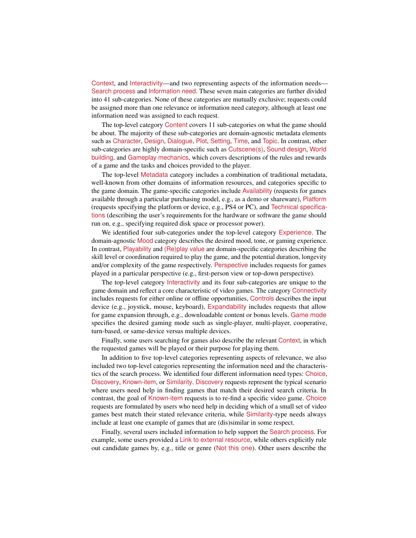Context, and Interactivity—and two representing aspects of the information needs— Search process and Information need. These seven main categories are further divided into 41 sub-categories. None of these categories are mutually exclusive; requests could be assigned more than one relevance or information need category, although at least one information need was assigned to each request.

The top-level category Content covers 11 sub-categories on what the game should be about. The majority of these sub-categories are domain-agnostic metadata elements such as Character, Design, Dialogue, Plot, Setting, Time, and Topic. In contrast, other sub-categories are highly domain-specific such as Cutscene(s), Sound design, World building, and Gameplay mechanics, which covers descriptions of the rules and rewards of a game and the tasks and choices provided to the player.

The top-level Metadata category includes a combination of traditional metadata, well-known from other domains of information resources, and categories specific to the game domain. The game-specific categories include Availability (requests for games available through a particular purchasing model, e.g., as a demo or shareware), Platform (requests specifying the platform or device, e.g., PS4 or PC), and Technical specifications (describing the user's requirements for the hardware or software the game should run on, e.g., specifying required disk space or processor power).

We identified four sub-categories under the top-level category Experience. The domain-agnostic Mood category describes the desired mood, tone, or gaming experience. In contrast, Playability and (Re)play value are domain-specific categories describing the skill level or coordination required to play the game, and the potential duration, longevity and/or complexity of the game respectively. Perspective includes requests for games played in a particular perspective (e.g., first-person view or top-down perspective).

The top-level category Interactivity and its four sub-categories are unique to the game domain and reflect a core characteristic of video games. The category Connectivity includes requests for either online or offline opportunities, Controls describes the input device (e.g., joystick, mouse, keyboard), Expandability includes requests that allow for game expansion through, e.g., downloadable content or bonus levels. Game mode specifies the desired gaming mode such as single-player, multi-player, cooperative, turn-based, or same-device versus multiple devices.

Finally, some users searching for games also describe the relevant Context, in which the requested games will be played or their purpose for playing them.

In addition to five top-level categories representing aspects of relevance, we also included two top-level categories representing the information need and the characteristics of the search process. We identified four different information need types: Choice, Discovery, Known-item, or Similarity. Discovery requests represent the typical scenario where users need help in finding games that match their desired search criteria. In contrast, the goal of Known-item requests is to re-find a specific video game. Choice requests are formulated by users who need help in deciding which of a small set of video games best match their stated relevance criteria, while Similarity-type needs always include at least one example of games that are (dis)similar in some respect.

Finally, several users included information to help support the Search process. For example, some users provided a Link to external resource, while others explicitly rule out candidate games by, e.g., title or genre (Not this one). Other users describe the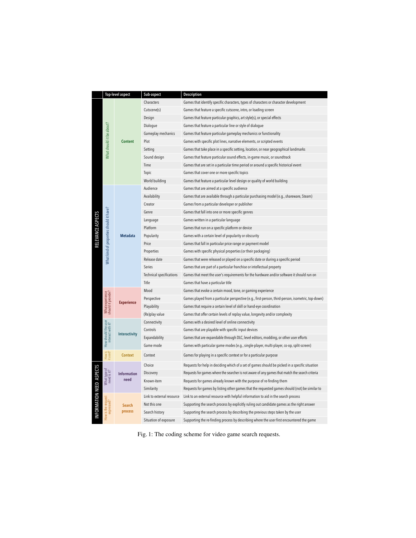|                           | <b>Top-level aspect</b>                  |                            | Sub-aspect                | Description                                                                                        |  |  |  |  |
|---------------------------|------------------------------------------|----------------------------|---------------------------|----------------------------------------------------------------------------------------------------|--|--|--|--|
|                           |                                          |                            | Characters                | Games that identify specific characters, types of characters or character development              |  |  |  |  |
|                           |                                          |                            | Cutscene(s)               | Games that feature a specific cutscene, intro, or loading screen                                   |  |  |  |  |
|                           |                                          |                            | Design                    | Games that feature particular graphics, art style(s), or special effects                           |  |  |  |  |
|                           |                                          |                            | Dialogue                  | Games that feature a particular line or style of dialogue                                          |  |  |  |  |
|                           |                                          |                            | Gameplay mechanics        | Games that feature particular gameplay mechanics or functionality                                  |  |  |  |  |
|                           |                                          | <b>Content</b>             | Plot                      | Games with specific plot lines, narrative elements, or scripted events                             |  |  |  |  |
|                           | What should it be about?                 |                            | Setting                   | Games that take place in a specific setting, location, or near geographical landmarks              |  |  |  |  |
|                           |                                          |                            | Sound design              | Games that feature particular sound effects, in-game music, or soundtrack                          |  |  |  |  |
|                           |                                          |                            | Time                      | Games that are set in a particular time period or around a specific historical event               |  |  |  |  |
|                           |                                          |                            | Topic                     | Games that cover one or more specific topics                                                       |  |  |  |  |
|                           |                                          |                            | World building            | Games that feature a particular level design or quality of world building                          |  |  |  |  |
|                           |                                          |                            | Audience                  | Games that are aimed at a specific audience                                                        |  |  |  |  |
|                           |                                          |                            | Availability              | Games that are available through a particular purchasing model (e.g., shareware, Steam)            |  |  |  |  |
|                           |                                          |                            | Creator                   | Games from a particular developer or publisher                                                     |  |  |  |  |
|                           |                                          | <b>Metadata</b>            | Genre                     | Games that fall into one or more specific genres                                                   |  |  |  |  |
|                           |                                          |                            | Language                  | Games written in a particular language                                                             |  |  |  |  |
|                           |                                          |                            | Platform                  | Games that run on a specific platform or device                                                    |  |  |  |  |
|                           |                                          |                            | Popularity                | Games with a certain level of popularity or obscurity                                              |  |  |  |  |
| <b>RELEVANCE ASPECTS</b>  |                                          |                            | Price                     | Games that fall in particular price range or payment model                                         |  |  |  |  |
|                           |                                          |                            | Properties                | Games with specific physical properties (or their packaging)                                       |  |  |  |  |
|                           | Nhat kind of properties should it have?  |                            | Release date              | Games that were released or played on a specific date or during a specific period                  |  |  |  |  |
|                           |                                          |                            | Series                    | Games that are part of a particular franchise or intellectual property                             |  |  |  |  |
|                           |                                          |                            | Technical specifications  | Games that meet the user's requirements for the hardware and/or software it should run on          |  |  |  |  |
|                           |                                          |                            | Title                     | Games that have a particular title                                                                 |  |  |  |  |
|                           |                                          |                            | Mood                      | Games that evoke a certain mood, tone, or gaming experience                                        |  |  |  |  |
|                           | What experience<br>should it provide?    | <b>Experience</b>          | Perspective               | Games played from a particular perspective (e.g., first-person, third-person, isometric, top-down) |  |  |  |  |
|                           |                                          |                            | Playability               | Games that require a certain level of skill or hand-eye coordination                               |  |  |  |  |
|                           |                                          |                            | (Re)play value            | Games that offer certain levels of replay value, longevity and/or complexity                       |  |  |  |  |
|                           |                                          | <b>Interactivity</b>       | Connectivity              | Games with a desired level of online connectivity                                                  |  |  |  |  |
|                           |                                          |                            | Controls                  | Games that are playable with specific input devices                                                |  |  |  |  |
|                           | How should the user<br>interact with it? |                            | Expandability             | Games that are expandable through DLC, level editors, modding, or other user efforts               |  |  |  |  |
|                           |                                          |                            | Game mode                 | Games with particular game modes (e.g., single-player, multi-player, co-op, split-screen)          |  |  |  |  |
|                           | How is<br>it used?                       | <b>Context</b>             | Context                   | Games for playing in a specific context or for a particular purpose                                |  |  |  |  |
|                           |                                          | <b>Information</b><br>need | Choice                    | Requests for help in deciding which of a set of games should be picked in a specific situation     |  |  |  |  |
|                           | Whattype of<br>need is it?               |                            | Discovery                 | Requests for games where the searcher is not aware of any games that match the search criteria     |  |  |  |  |
| IN FORMATION NEED ASPECTS |                                          |                            | Known-item                | Requests for games already known with the purpose of re-finding them                               |  |  |  |  |
|                           |                                          |                            | Similarity                | Requests for games by listing other games that the requested games should (not) be similar to      |  |  |  |  |
|                           |                                          | <b>Search</b><br>process   | Link to external resource | Link to an external resource with helpful information to aid in the search process                 |  |  |  |  |
|                           | How is the request<br>expressed's        |                            | Not this one              | Supporting the search process by explicitly ruling out candidate games as the right answer         |  |  |  |  |
|                           |                                          |                            | Search history            | Supporting the search process by describing the previous steps taken by the user                   |  |  |  |  |
|                           |                                          |                            | Situation of exposure     | Supporting the re-finding process by describing where the user first encountered the game          |  |  |  |  |

Fig. 1: The coding scheme for video game search requests.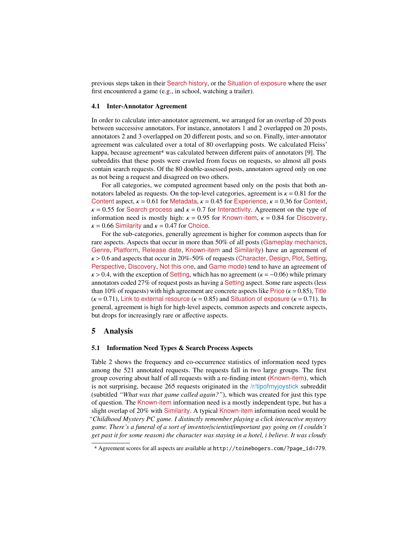previous steps taken in their Search history, or the Situation of exposure where the user first encountered a game (e.g., in school, watching a trailer).

#### 4.1 Inter-Annotator Agreement

In order to calculate inter-annotator agreement, we arranged for an overlap of 20 posts between successive annotators. For instance, annotators 1 and 2 overlapped on 20 posts, annotators 2 and 3 overlapped on 20 different posts, and so on. Finally, inter-annotator agreement was calculated over a total of 80 overlapping posts. We calculated Fleiss' kappa, because agreement<sup>4</sup> was calculated between different pairs of annotators [9]. The subreddits that these posts were crawled from focus on requests, so almost all posts contain search requests. Of the 80 double-assessed posts, annotators agreed only on one as not being a request and disagreed on two others.

For all categories, we computed agreement based only on the posts that both annotators labeled as requests. On the top-level categories, agreement is  $\kappa = 0.81$  for the Content aspect,  $\kappa = 0.61$  for Metadata,  $\kappa = 0.45$  for Experience,  $\kappa = 0.36$  for Context,  $\kappa = 0.55$  for Search process and  $\kappa = 0.7$  for Interactivity. Agreement on the type of information need is mostly high:  $\kappa = 0.95$  for Known-item,  $\kappa = 0.84$  for Discovery,  $\kappa$  = 0.66 Similarity and  $\kappa$  = 0.47 for Choice.

For the sub-categories, generally agreement is higher for common aspects than for rare aspects. Aspects that occur in more than 50% of all posts (Gameplay mechanics, Genre, Platform, Release date, Known-item and Similarity) have an agreement of  $\kappa$  > 0.6 and aspects that occur in 20%-50% of requests (Character, Design, Plot, Setting, Perspective, Discovery, Not this one, and Game mode) tend to have an agreement of  $\kappa$  > 0.4, with the exception of Setting, which has no agreement ( $\kappa$  = -0.06) while primary annotators coded 27% of request posts as having a Setting aspect. Some rare aspects (less than 10% of requests) with high agreement are concrete aspects like Price ( $\kappa$  = 0.85), Title  $(\kappa = 0.71)$ , Link to external resource  $(\kappa = 0.85)$  and Situation of exposure  $(\kappa = 0.71)$ . In general, agreement is high for high-level aspects, common aspects and concrete aspects, but drops for increasingly rare or affective aspects.

## 5 Analysis

## 5.1 Information Need Types & Search Process Aspects

Table 2 shows the frequency and co-occurrence statistics of information need types among the 521 annotated requests. The requests fall in two large groups. The first group covering about half of all requests with a re-finding intent (Known-item), which is not surprising, because 265 requests originated in the /r/tipofmyjoystick subreddit (subtitled *"What was that game called again?"*), which was created for just this type of question. The Known-item information need is a mostly independent type, but has a slight overlap of 20% with Similarity. A typical Known-item information need would be *"Childhood Mystery PC game. I distinctly remember playing a click interactive mystery game. There's a funeral of a sort of inventor*/*scientist*/*important guy going on (I couldn't get past it for some reason) the character was staying in a hotel, i believe. It was cloudy*

<sup>4</sup> Agreement scores for all aspects are available at http://toinebogers.com/?page\_id=779.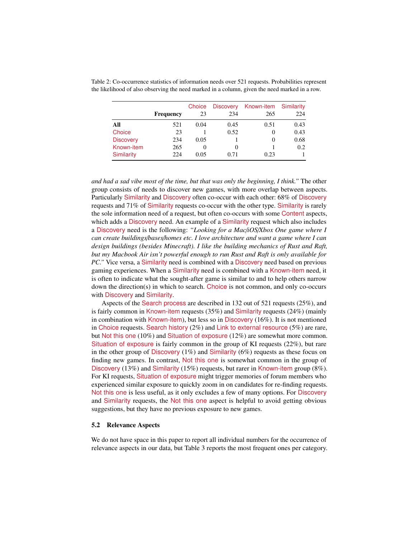|                   | <b>Frequency</b> | Choice<br>23 | <b>Discovery</b><br>234 | Known-item<br>265 | Similarity<br>224 |
|-------------------|------------------|--------------|-------------------------|-------------------|-------------------|
| All               | 521              | 0.04         | 0.45                    | 0.51              | 0.43              |
| Choice            | 23               |              | 0.52                    | $\theta$          | 0.43              |
| <b>Discovery</b>  | 234              | 0.05         |                         | $\theta$          | 0.68              |
| Known-item        | 265              | $\theta$     | 0                       |                   | 0.2               |
| <b>Similarity</b> | 224              | 0.05         | 0.71                    | 0.23              |                   |

Table 2: Co-occurrence statistics of information needs over 521 requests. Probabilities represent the likelihood of also observing the need marked in a column, given the need marked in a row.

*and had a sad vibe most of the time, but that was only the beginning, I think."* The other group consists of needs to discover new games, with more overlap between aspects. Particularly Similarity and Discovery often co-occur with each other: 68% of Discovery requests and 71% of Similarity requests co-occur with the other type. Similarity is rarely the sole information need of a request, but often co-occurs with some Content aspects, which adds a Discovery need. An example of a Similarity request which also includes a Discovery need is the following: *"Looking for a Mac*/*iOS*/*Xbox One game where I can create buildings*/*bases*/*homes etc. I love architecture and want a game where I can design buildings (besides Minecraft). I like the building mechanics of Rust and Raft, but my Macbook Air isn't powerful enough to run Rust and Raft is only available for PC.*" Vice versa, a Similarity need is combined with a Discovery need based on previous gaming experiences. When a Similarity need is combined with a Known-item need, it is often to indicate what the sought-after game is similar to and to help others narrow down the direction(s) in which to search. Choice is not common, and only co-occurs with Discovery and Similarity.

Aspects of the Search process are described in 132 out of 521 requests (25%), and is fairly common in Known-item requests (35%) and Similarity requests (24%) (mainly in combination with Known-item), but less so in Discovery (16%). It is not mentioned in Choice requests. Search history  $(2\%)$  and Link to external resource  $(5\%)$  are rare, but Not this one (10%) and Situation of exposure (12%) are somewhat more common. Situation of exposure is fairly common in the group of KI requests (22%), but rare in the other group of Discovery  $(1%)$  and Similarity  $(6%)$  requests as these focus on finding new games. In contrast, Not this one is somewhat common in the group of Discovery (13%) and Similarity (15%) requests, but rarer in Known-item group (8%). For KI requests, Situation of exposure might trigger memories of forum members who experienced similar exposure to quickly zoom in on candidates for re-finding requests. Not this one is less useful, as it only excludes a few of many options. For Discovery and Similarity requests, the Not this one aspect is helpful to avoid getting obvious suggestions, but they have no previous exposure to new games.

#### 5.2 Relevance Aspects

We do not have space in this paper to report all individual numbers for the occurrence of relevance aspects in our data, but Table 3 reports the most frequent ones per category.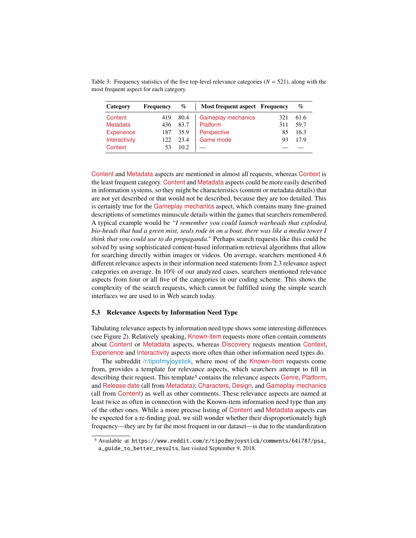Table 3: Frequency statistics of the five top-level relevance categories ( $N = 521$ ), along with the most frequent aspect for each category.

| Category      | <b>Frequency</b> | $\%$  | <b>Most frequent aspect Frequency</b> |     | $\%$ |
|---------------|------------------|-------|---------------------------------------|-----|------|
| Content       | 419              | 80.4  | Gameplay mechanics                    | 321 | 61.6 |
| Metadata      | 436              | 83.7  | Platform                              | 311 | 59.7 |
| Experience    | 187              | 35.9  | Perspective                           | 85  | 16.3 |
| Interactivity | 122.             | 23.4  | Game mode                             | 93  | 17.9 |
| Context       | 53               | 10.2. |                                       |     |      |

Content and Metadata aspects are mentioned in almost all requests, whereas Context is the least frequent category. Content and Metadata aspects could be more easily described in information systems, so they might be characteristics (content or metadata details) that are not yet described or that would not be described, because they are too detailed. This is certainly true for the Gameplay mechanics aspect, which contains many fine-grained descriptions of sometimes minuscule details within the games that searchers remembered. A typical example would be *"I remember you could launch warheads that exploded, bio-heads that had a green mist, seals rode in on a boat, there was like a media tower I think that you could use to do propaganda."* Perhaps search requests like this could be solved by using sophisticated content-based information retrieval algorithms that allow for searching directly within images or videos. On average, searchers mentioned 4.6 different relevance aspects in their information need statements from 2.3 relevance aspect categories on average. In 10% of our analyzed cases, searchers mentioned relevance aspects from four or all five of the categories in our coding scheme. This shows the complexity of the search requests, which cannot be fulfilled using the simple search interfaces we are used to in Web search today.

#### 5.3 Relevance Aspects by Information Need Type

Tabulating relevance aspects by information need type shows some interesting differences (see Figure 2). Relatively speaking, Known-item requests more often contain comments about Content or Metadata aspects, whereas Discovery requests mention Context, Experience and Interactivity aspects more often than other information need types do.

The subreddit /r/tipofmyjoystick, where most of the Known-item requests come from, provides a template for relevance aspects, which searchers attempt to fill in describing their request. This template<sup>5</sup> contains the relevance aspects Genre, Platform, and Release date (all from Metadata); Characters, Design, and Gameplay mechanics (all from Content) as well as other comments. These relevance aspects are named at least twice as often in connection with the Known-item information need type than any of the other ones. While a more precise listing of Content and Metadata aspects can be expected for a re-finding goal, we still wonder whether their disproportionately high frequency—they are by far the most frequent in our dataset—is due to the standardization

<sup>5</sup> Available at https://www.reddit.com/r/tipofmyjoystick/comments/64i787/psa\_ a\_guide\_to\_better\_results, last visited September 9, 2018.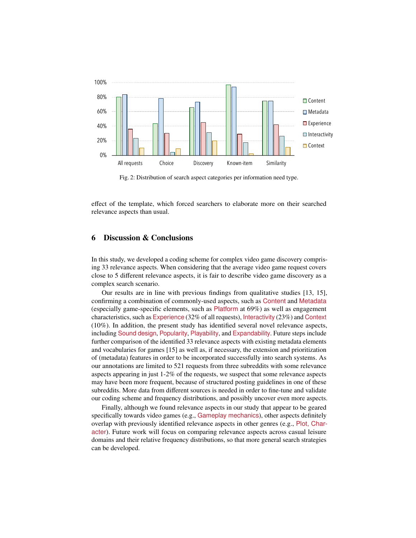

Fig. 2: Distribution of search aspect categories per information need type.

effect of the template, which forced searchers to elaborate more on their searched relevance aspects than usual.

# 6 Discussion & Conclusions

In this study, we developed a coding scheme for complex video game discovery comprising 33 relevance aspects. When considering that the average video game request covers close to 5 different relevance aspects, it is fair to describe video game discovery as a complex search scenario.

Our results are in line with previous findings from qualitative studies [13, 15], confirming a combination of commonly-used aspects, such as Content and Metadata (especially game-specific elements, such as  $Platform$  at 69%) as well as engagement characteristics, such as Experience (32% of all requests), Interactivity (23%) and Context (10%). In addition, the present study has identified several novel relevance aspects, including Sound design, Popularity, Playability, and Expandability. Future steps include further comparison of the identified 33 relevance aspects with existing metadata elements and vocabularies for games [15] as well as, if necessary, the extension and prioritization of (metadata) features in order to be incorporated successfully into search systems. As our annotations are limited to 521 requests from three subreddits with some relevance aspects appearing in just 1-2% of the requests, we suspect that some relevance aspects may have been more frequent, because of structured posting guidelines in one of these subreddits. More data from different sources is needed in order to fine-tune and validate our coding scheme and frequency distributions, and possibly uncover even more aspects.

Finally, although we found relevance aspects in our study that appear to be geared specifically towards video games (e.g., Gameplay mechanics), other aspects definitely overlap with previously identified relevance aspects in other genres (e.g., Plot, Character). Future work will focus on comparing relevance aspects across casual leisure domains and their relative frequency distributions, so that more general search strategies can be developed.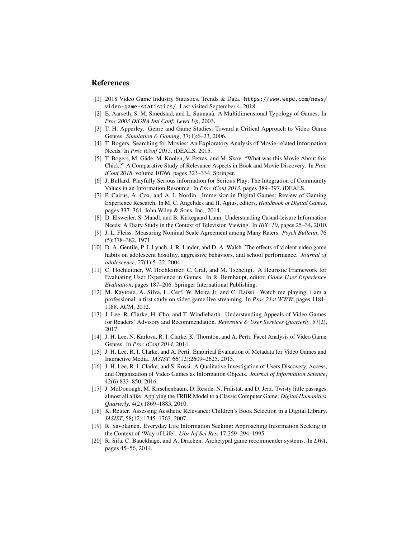# References

- [1] 2018 Video Game Industry Statistics, Trends & Data. https://www.wepc.com/news/ video-game-statistics/. Last visited September 4, 2018.
- [2] E. Aarseth, S. M. Smedstad, and L. Sunnanå. A Multidimensional Typology of Games. In *Proc 2003 DiGRA Intl Conf: Level Up*, 2003.
- [3] T. H. Apperley. Genre and Game Studies: Toward a Critical Approach to Video Game Genres. *Simulation* & *Gaming*, 37(1):6–23, 2006.
- [4] T. Bogers. Searching for Movies: An Exploratory Analysis of Movie-related Information Needs. In *Proc iConf 2015*. iDEALS, 2015.
- [5] T. Bogers, M. Gäde, M. Koolen, V. Petras, and M. Skov. "What was this Movie About this Chick?" A Comparative Study of Relevance Aspects in Book and Movie Discovery. In *Proc iConf 2018*, volume 10766, pages 323–334. Springer.
- [6] J. Bullard. Playfully Serious information for Serious Play: The Integration of Community Values in an Information Resource. In *Proc iConf 2013*, pages 389–397. iDEALS.
- [7] P. Cairns, A. Cox, and A. I. Nordin. Immersion in Digital Games: Review of Gaming Experience Research. In M. C. Angelides and H. Agius, editors, *Handbook of Digital Games*, pages 337–361. John Wiley & Sons, Inc., 2014.
- [8] D. Elsweiler, S. Mandl, and B. Kirkegaard Lunn. Understanding Casual-leisure Information Needs: A Diary Study in the Context of Television Viewing. In *IIiX '10*, pages 25–34, 2010.
- [9] J. L. Fleiss. Measuring Nominal Scale Agreement among Many Raters. *Psych Bulletin*, 76 (5):378–382, 1971.
- [10] D. A. Gentile, P. J. Lynch, J. R. Linder, and D. A. Walsh. The effects of violent video game habits on adolescent hostility, aggressive behaviors, and school performance. *Journal of adolescence*, 27(1):5–22, 2004.
- [11] C. Hochleitner, W. Hochleitner, C. Graf, and M. Tscheligi. A Heuristic Framework for Evaluating User Experience in Games. In R. Bernhaupt, editor, *Game User Experience Evaluation*, pages 187–206. Springer International Publishing.
- [12] M. Kaytoue, A. Silva, L. Cerf, W. Meira Jr, and C. Raïssi. Watch me playing, i am a professional: a first study on video game live streaming. In *Proc 21st WWW*, pages 1181– 1188. ACM, 2012.
- [13] J. Lee, R. Clarke, H. Cho, and T. Windleharth. Understanding Appeals of Video Games for Readers' Advisory and Recommendation. *Reference* & *User Services Quarterly*, 57(2), 2017.
- [14] J. H. Lee, N. Karlova, R. I. Clarke, K. Thornton, and A. Perti. Facet Analysis of Video Game Genres. In *Proc iConf 2014*, 2014.
- [15] J. H. Lee, R. I. Clarke, and A. Perti. Empirical Evaluation of Metadata for Video Games and Interactive Media. *JASIST*, 66(12):2609–2625, 2015.
- [16] J. H. Lee, R. I. Clarke, and S. Rossi. A Qualitative Investigation of Users Discovery, Access, and Organization of Video Games as Information Objects. *Journal of Information Science*, 42(6):833–850, 2016.
- [17] J. McDonough, M. Kirschenbaum, D. Reside, N. Fraistat, and D. Jerz. Twisty little passages almost all alike: Applying the FRBR Model to a Classic Computer Game. *Digital Humanities Quarterly*, 4(2):1869–1883, 2010.
- [18] K. Reuter. Assessing Aesthetic Relevance: Children's Book Selection in a Digital Library. *JASIST*, 58(12):1745–1763, 2007.
- [19] R. Savolainen. Everyday Life Information Seeking: Approaching Information Seeking in the Context of 'Way of Life'. *Libr Inf Sci Res*, 17:259–294, 1995.
- [20] R. Sifa, C. Bauckhage, and A. Drachen. Archetypal game recommender systems. In *LWA*, pages 45–56, 2014.